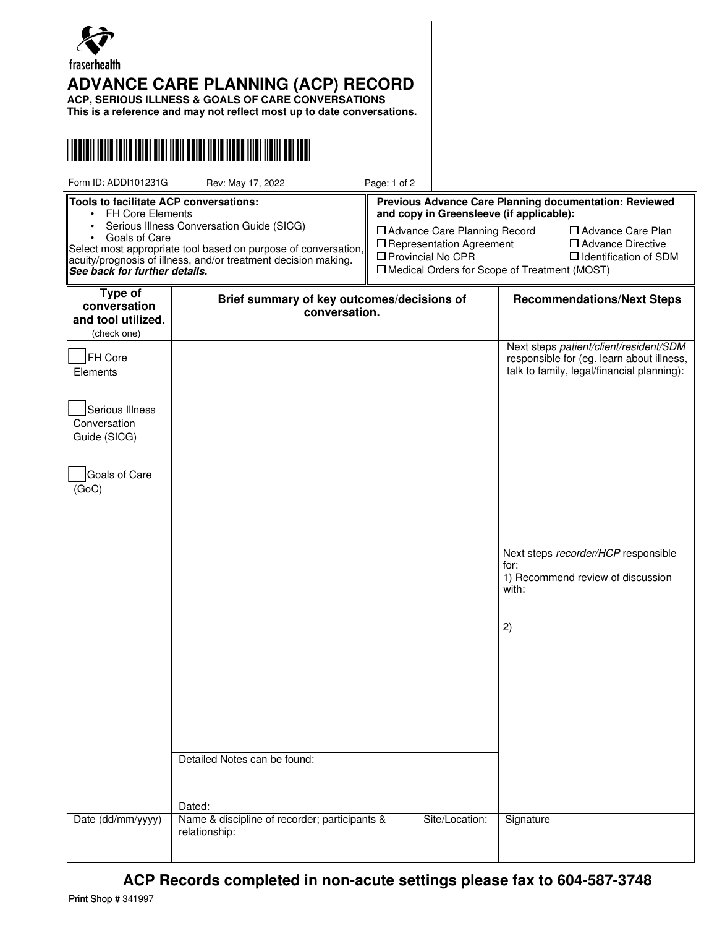

## **ADVANCE CARE PLANNING (ACP) RECORD**

**ACP, SERIOUS ILLNESS & GOALS OF CARE CONVERSATIONS**

**This is a reference and may not reflect most up to date conversations.**



| Form ID: ADDI101231G                                                                                                                                                                                                                                                                                                           | Rev: May 17, 2022                                              | Page: 1 of 2                                                                                                                                                                                                                                                                                                                                |                                   |                                                                                                                                                                                                                                      |
|--------------------------------------------------------------------------------------------------------------------------------------------------------------------------------------------------------------------------------------------------------------------------------------------------------------------------------|----------------------------------------------------------------|---------------------------------------------------------------------------------------------------------------------------------------------------------------------------------------------------------------------------------------------------------------------------------------------------------------------------------------------|-----------------------------------|--------------------------------------------------------------------------------------------------------------------------------------------------------------------------------------------------------------------------------------|
| Tools to facilitate ACP conversations:<br><b>FH Core Elements</b><br>$\bullet$<br>Serious Illness Conversation Guide (SICG)<br>$\bullet$<br>Goals of Care<br>Select most appropriate tool based on purpose of conversation,<br>acuity/prognosis of illness, and/or treatment decision making.<br>See back for further details. |                                                                | Previous Advance Care Planning documentation: Reviewed<br>and copy in Greensleeve (if applicable):<br>□ Advance Care Planning Record<br>$\Box$ Advance Care Plan<br>$\square$ Representation Agreement<br>$\Box$ Advance Directive<br>□ Provincial No CPR<br>$\Box$ Identification of SDM<br>□ Medical Orders for Scope of Treatment (MOST) |                                   |                                                                                                                                                                                                                                      |
| Type of<br>conversation<br>and tool utilized.                                                                                                                                                                                                                                                                                  | Brief summary of key outcomes/decisions of<br>conversation.    |                                                                                                                                                                                                                                                                                                                                             | <b>Recommendations/Next Steps</b> |                                                                                                                                                                                                                                      |
| (check one)<br>FH Core<br>Elements<br>Serious Illness<br>Conversation<br>Guide (SICG)<br>Goals of Care<br>(GoC)                                                                                                                                                                                                                | Detailed Notes can be found:<br>Dated:                         |                                                                                                                                                                                                                                                                                                                                             |                                   | Next steps patient/client/resident/SDM<br>responsible for (eg. learn about illness,<br>talk to family, legal/financial planning):<br>Next steps recorder/HCP responsible<br>for:<br>1) Recommend review of discussion<br>with:<br>2) |
| Date (dd/mm/yyyy)                                                                                                                                                                                                                                                                                                              | Name & discipline of recorder; participants &<br>relationship: |                                                                                                                                                                                                                                                                                                                                             | Site/Location:                    | Signature                                                                                                                                                                                                                            |

**ACP Records completed in non-acute settings please fax to 604-587-3748**